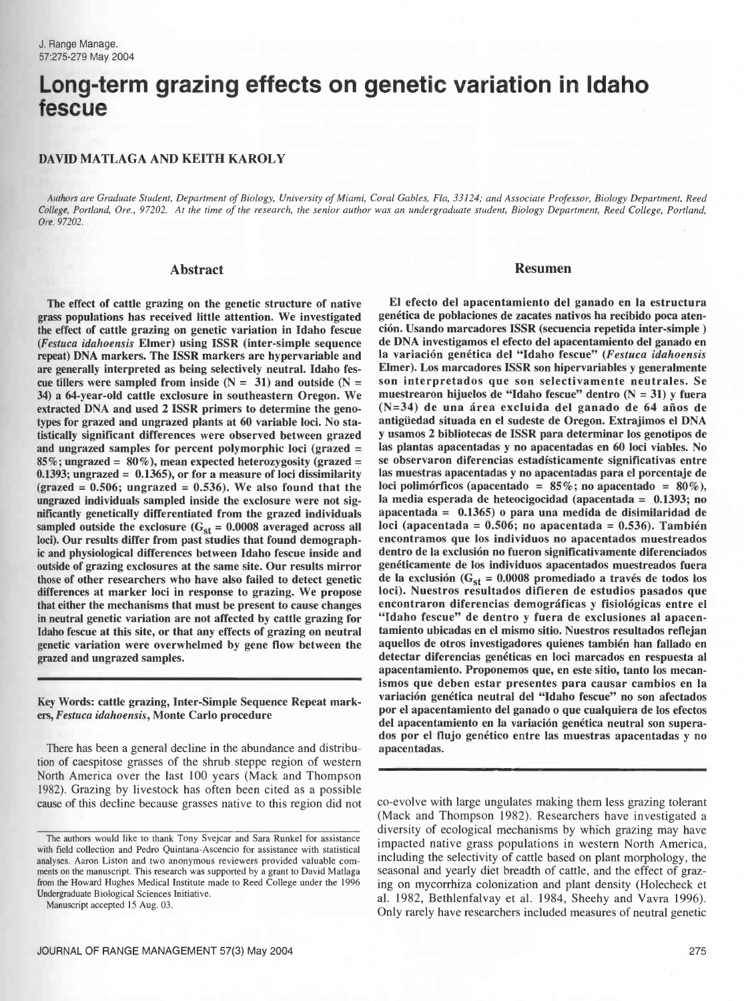# Long-term grazing effects on genetic variation in Idaho fescue

### DAVID MATLAGA AND KEITH KAROLY

Authors are Graduate Student, Department of Biology, University of Miami, Coral Gables, Fla, 33124; and Associate Professor, Biology Department, Reed College, Portland, Ore., 97202. At the time of the research, the senior author was an undergraduate student, Biology Department, Reed College, Portland, Ore. 97202.

#### Abstract

The effect of cattle grazing on the genetic structure of native grass populations has received little attention. We investigated the effect of cattle grazing on genetic variation in Idaho fescue (Festuca idahoensis Elmer) using ISSR (inter- simple sequence repeat) DNA markers. The ISSR markers are hypervariable and are generally interpreted as being selectively neutral. Idaho fescue tillers were sampled from inside  $(N = 31)$  and outside  $(N = 11)$ 34) a 64- year -old cattle exclosure in southeastern Oregon. We extracted DNA and used 2 ISSR primers to determine the genotypes for grazed and ungrazed plants at 60 variable loci. No statistically significant differences were observed between grazed and ungrazed samples for percent polymorphic loci (grazed =  $85\%$ : ungrazed =  $80\%$ ), mean expected heterozygosity (grazed =  $0.1393$ ; ungrazed =  $0.1365$ ), or for a measure of loci dissimilarity  $\text{(graced = 0.506; ungraxed = 0.536)}.$  We also found that the ungrazed individuals sampled inside the exclosure were not significantly genetically differentiated from the grazed individuals sampled outside the exclosure  $(G<sub>st</sub> = 0.0008$  averaged across all loci). Our results differ from past studies that found demographic and physiological differences between Idaho fescue inside and outside of grazing exclosures at the same site. Our results mirror those of other researchers who have also failed to detect genetic differences at marker loci in response to grazing. We propose that either the mechanisms that must be present to cause changes in neutral genetic variation are not affected by cattle grazing for Idaho fescue at this site, or that any effects of grazing on neutral genetic variation were overwhelmed by gene flow between the grazed and ungrazed samples.

Key Words: cattle grazing, Inter - Simple Sequence Repeat markers, Festuca idahoensis, Monte Carlo procedure

There has been a general decline in the abundance and distribution of caespitose grasses of the shrub steppe region of western North America over the last 100 years (Mack and Thompson 1982). Grazing by livestock has often been cited as a possible cause of this decline because grasses native to this region did not

Manuscript accepted 15 Aug. 03.

#### Resumen

El efecto del apacentamiento del ganado en la estructura genética de poblaciones de zacates nativos ha recibido poca atención. Usando marcadores ISSR (secuencia repetida inter- simple ) de DNA investigamos el efecto del apacentamiento del ganado en la variación genética del "Idaho fescue" (Festuca idahoensis Elmer). Los marcadores ISSR son hipervariables y generalmente son interpretados que son selectivamente neutrales. Se muestrearon hijuelos de "Idaho fescue" dentro (N = 31) y fuera (N =34) de una área excluida del ganado de 64 años de antigüedad situada en el sudeste de Oregon. Extrajimos el DNA y usamos 2 bibliotecas de ISSR para determinar los genotipos de las plantas apacentadas y no apacentadas en 60 loci viables. No se observaron diferencias estadísticamente significativas entre las muestras apacentadas y no apacentadas para el porcentaje de loci polimórficos (apacentado =  $85\%$ ; no apacentado =  $80\%$ ), la media esperada de heteocigocidad (apacentada = 0.1393; no apacentada = 0.1365) o para una medida de disimilaridad de loci (apacentada =  $0.506$ ; no apacentada =  $0.536$ ). También encontramos que los individuos no apacentados muestreados dentro de la exclusión no fueron significativamente diferenciados genéticamente de los individuos apacentados muestreados fuera de la exclusión ( $G_{st} = 0.0008$  promediado a través de todos los loci). Nuestros resultados difieren de estudios pasados que encontraron diferencias demográficas y fisiológicas entre el "Idaho fescue" de dentro y fuera de exclusiones al apacentamiento ubicadas en el mismo sitio. Nuestros resultados reflejan aquellos de otros investigadores quienes también han fallado en detectar diferencias genéticas en loci marcados en respuesta al apacentamiento. Proponemos que, en este sitio, tanto los mecanismos que deben estar presentes para causar cambios en la variación genética neutral del "Idaho fescue" no son afectados por el apacentamiento del ganado o que cualquiera de los efectos del apacentamiento en la variación genética neutral son superados por el flujo genético entre las muestras apacentadas y no apacentadas.

co- evolve with large ungulates making them less grazing tolerant (Mack and Thompson 1982). Researchers have investigated a diversity of ecological mechanisms by which grazing may have impacted native grass populations in western North America, including the selectivity of cattle based on plant morphology, the seasonal and yearly diet breadth of cattle, and the effect of grazing on mycorrhiza colonization and plant density (Holecheck et al. 1982, Bethlenfalvay et al. 1984, Sheehy and Vavra 1996). Only rarely have researchers included measures of neutral genetic

The authors would like to thank Tony Svejcar and Sara Runkel for assistance with field collection and Pedro Quintana Ascencio for assistance with statistical analyses. Aaron Liston and two anonymous reviewers provided valuable comments on the manuscript. This research was supported by a grant to David Matlaga from the Howard Hughes Medical Institute made to Reed College under the 1996 Undergraduate Biological Sciences Initiative.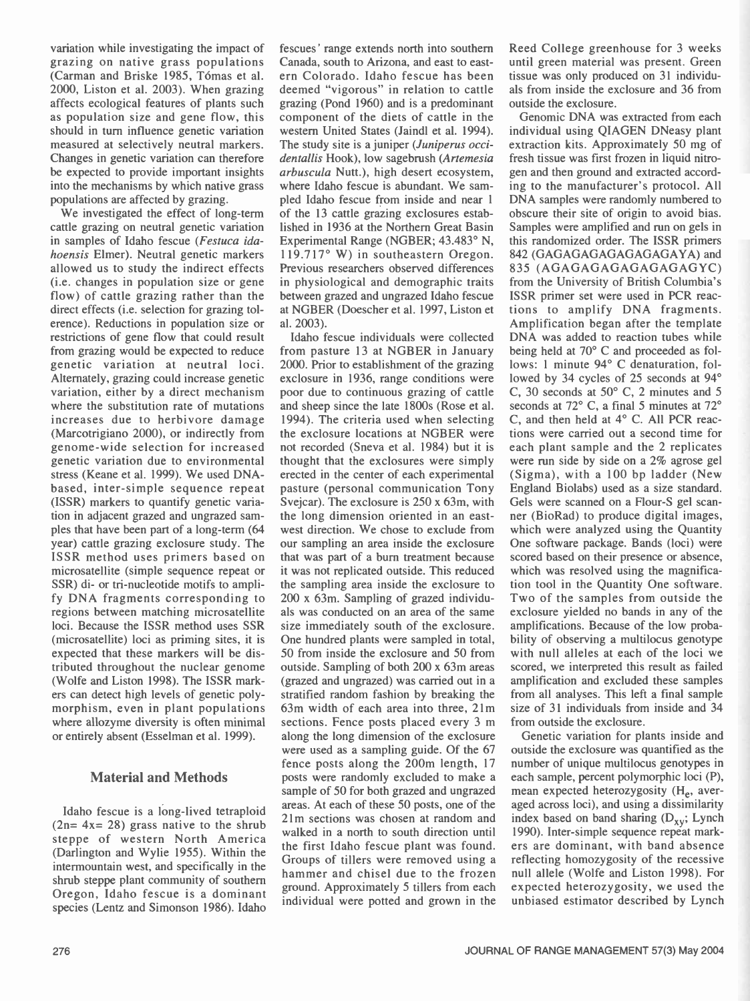variation while investigating the impact of grazing on native grass populations (Carman and Briske 1985, Tómas et al. 2000, Liston et al. 2003). When grazing affects ecological features of plants such as population size and gene flow, this should in turn influence genetic variation measured at selectively neutral markers. Changes in genetic variation can therefore be expected to provide important insights into the mechanisms by which native grass populations are affected by grazing.

We investigated the effect of long-term cattle grazing on neutral genetic variation in samples of Idaho fescue (Festuca idahoensis Elmer). Neutral genetic markers allowed us to study the indirect effects (i.e. changes in population size or gene flow) of cattle grazing rather than the direct effects (i.e. selection for grazing tolerence). Reductions in population size or restrictions of gene flow that could result from grazing would be expected to reduce genetic variation at neutral loci. Alternately, grazing could increase genetic variation, either by a direct mechanism where the substitution rate of mutations increases due to herbivore damage (Marcotrigiano 2000), or indirectly from genome -wide selection for increased genetic variation due to environmental stress (Keane et al. 1999). We used DNA based, inter simple sequence repeat (ISSR) markers to quantify genetic variation in adjacent grazed and ungrazed samples that have been part of a long -term (64 year) cattle grazing exclosure study. The ISSR method uses primers based on microsatellite (simple sequence repeat or SSR) di- or tri-nucleotide motifs to amplify DNA fragments corresponding to regions between matching microsatellite loci. Because the ISSR method uses SSR (microsatellite) loci as priming sites, it is expected that these markers will be distributed throughout the nuclear genome (Wolfe and Liston 1998). The ISSR markers can detect high levels of genetic polymorphism, even in plant populations where allozyme diversity is often minimal or entirely absent (Esselman et al. 1999).

## Material and Methods

Idaho fescue is a long-lived tetraploid  $(2n= 4x= 28)$  grass native to the shrub steppe of western North America (Darlington and Wylie 1955). Within the intermountain west, and specifically in the shrub steppe plant community of southern Oregon, Idaho fescue is a dominant species (Lentz and Simonson 1986). Idaho fescues' range extends north into southern Canada, south to Arizona, and east to eastern Colorado. Idaho fescue has been deemed "vigorous" in relation to cattle grazing (Pond 1960) and is a predominant component of the diets of cattle in the western United States (Jaindl et al. 1994). The study site is a juniper (Juniperus occidentallis Hook), low sagebrush (Artemesia arbuscula Nutt.), high desert ecosystem, where Idaho fescue is abundant. We sampled Idaho fescue from inside and near 1 of the 13 cattle grazing exclosures established in 1936 at the Northern Great Basin Experimental Range (NGBER; 43.483° N, 119.717° W) in southeastern Oregon. Previous researchers observed differences in physiological and demographic traits between grazed and ungrazed Idaho fescue at NGBER (Doescher et al. 1997, Liston et al. 2003).

Idaho fescue individuals were collected from pasture 13 at NGBER in January 2000. Prior to establishment of the grazing exclosure in 1936, range conditions were poor due to continuous grazing of cattle and sheep since the late 1800s (Rose et al. 1994). The criteria used when selecting the exclosure locations at NGBER were not recorded (Sneva et al. 1984) but it is thought that the exclosures were simply erected in the center of each experimental pasture (personal communication Tony Svejcar). The exclosure is 250 x 63m, with the long dimension oriented in an eastwest direction. We chose to exclude from our sampling an area inside the exclosure that was part of a burn treatment because it was not replicated outside. This reduced the sampling area inside the exclosure to 200 x 63m. Sampling of grazed individuals was conducted on an area of the same size immediately south of the exclosure. One hundred plants were sampled in total, 50 from inside the exclosure and 50 from outside. Sampling of both 200 x 63m areas (grazed and ungrazed) was carried out in a stratified random fashion by breaking the 63m width of each area into three, 21m sections. Fence posts placed every 3 m along the long dimension of the exclosure were used as a sampling guide. Of the 67 fence posts along the 200m length, 17 posts were randomly excluded to make a sample of 50 for both grazed and ungrazed areas. At each of these 50 posts, one of the 21m sections was chosen at random and walked in a north to south direction until the first Idaho fescue plant was found. Groups of tillers were removed using a hammer and chisel due to the frozen ground. Approximately 5 tillers from each individual were potted and grown in the

Reed College greenhouse for 3 weeks until green material was present. Green tissue was only produced on 31 individuals from inside the exclosure and 36 from outside the exclosure.

Genomic DNA was extracted from each individual using QIAGEN DNeasy plant extraction kits. Approximately 50 mg of fresh tissue was first frozen in liquid nitrogen and then ground and extracted according to the manufacturer's protocol. All DNA samples were randomly numbered to obscure their site of origin to avoid bias. Samples were amplified and run on gels in this randomized order. The ISSR primers 842 (GAGAGAGAGAGAGAGAYA) and 835 (AGAGAGAGAGAGAGAGYC) from the University of British Columbia's ISSR primer set were used in PCR reactions to amplify DNA fragments. Amplification began after the template DNA was added to reaction tubes while being held at 70° C and proceeded as follows: 1 minute 94° C denaturation, followed by 34 cycles of 25 seconds at 94° C, 30 seconds at 50° C, 2 minutes and 5 seconds at 72° C, a final 5 minutes at 72° C, and then held at 4° C. All PCR reactions were carried out a second time for each plant sample and the 2 replicates were run side by side on a 2% agrose gel (Sigma), with a 100 bp ladder (New England Biolabs) used as a size standard. Gels were scanned on a Flour-S gel scanner (BioRad) to produce digital images, which were analyzed using the Quantity One software package. Bands (loci) were scored based on their presence or absence, which was resolved using the magnification tool in the Quantity One software. Two of the samples from outside the exclosure yielded no bands in any of the amplifications. Because of the low probability of observing a multilocus genotype with null alleles at each of the loci we scored, we interpreted this result as failed amplification and excluded these samples from all analyses. This left a final sample size of 31 individuals from inside and 34 from outside the exclosure.

Genetic variation for plants inside and outside the exclosure was quantified as the number of unique multilocus genotypes in each sample, percent polymorphic loci (P), mean expected heterozygosity  $(H_e, \text{ aver-}$ aged across loci), and using a dissimilarity index based on band sharing  $(D_{xy}; Lynch)$ 1990). Inter simple sequence repeat markers are dominant, with band absence reflecting homozygosity of the recessive null allele (Wolfe and Liston 1998). For expected heterozygosity, we used the unbiased estimator described by Lynch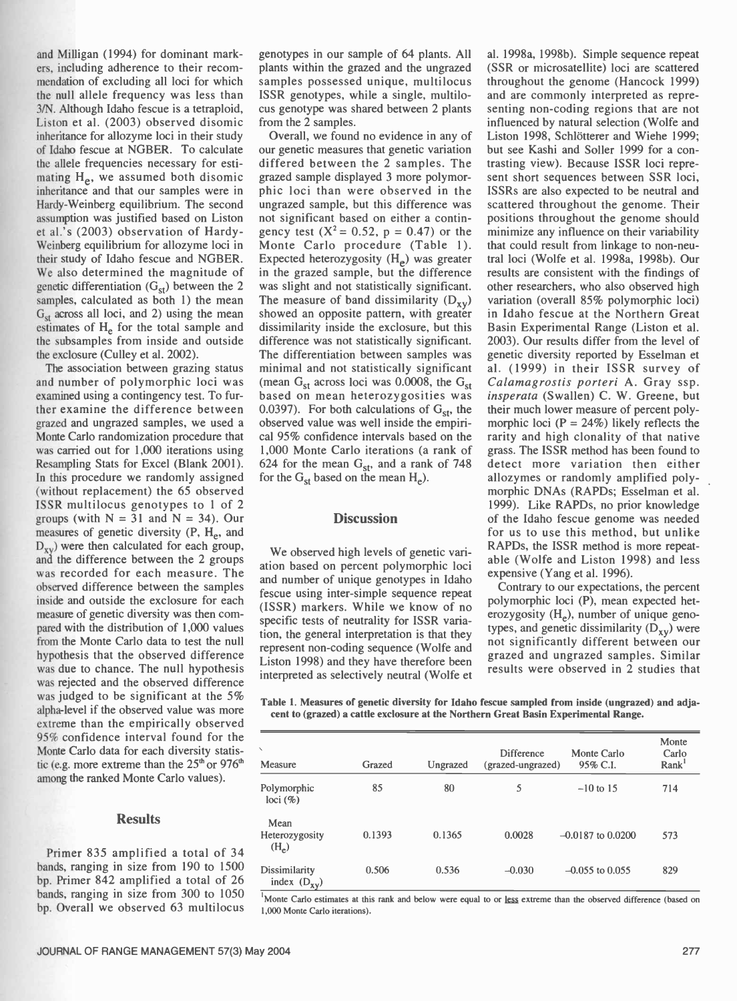and Milligan (1994) for dominant markers, including adherence to their recommendation of excluding all loci for which the null allele frequency was less than 3/N. Although Idaho fescue is a tetraploid, Liston et al. (2003) observed disomic inheritance for allozyme loci in their study of Idaho fescue at NGBER. To calculate the allele frequencies necessary for estimating  $H_e$ , we assumed both disomic inheritance and that our samples were in Hardy- Weinberg equilibrium. The second et al.'s (2003) observation of Hardy - Weinberg equilibrium for allozyme loci in their study of Idaho fescue and NGBER. We also determined the magnitude of genetic differentiation  $(G<sub>st</sub>)$  between the 2 samples, calculated as both 1) the mean  $G<sub>st</sub>$  across all loci, and 2) using the mean estimates of H<sub>e</sub> for the total sample and the subsamples from inside and outside the exclosure (Culley et al. 2002).

The association between grazing status and number of polymorphic loci was examined using a contingency test. To further examine the difference between grazed and ungrazed samples, we used a Monte Carlo randomization procedure that was carried out for 1,000 iterations using Resampling Stats for Excel (Blank 2001). In this procedure we randomly assigned (without replacement) the 65 observed ISSR multilocus genotypes to 1 of 2 groups (with  $N = 31$  and  $N = 34$ ). Our measures of genetic diversity (P, H<sub>e</sub>, and  $D_{xy}$ ) were then calculated for each group, and the difference between the 2 groups was recorded for each measure. The observed difference between the samples inside and outside the exclosure for each measure of genetic diversity was then compared with the distribution of 1,000 values from the Monte Carlo data to test the null hypothesis that the observed difference was due to chance. The null hypothesis was rejected and the observed difference was judged to be significant at the 5% alpha-level if the observed value was more extreme than the empirically observed 95% confidence interval found for the Monte Carlo data for each diversity statistic (e.g. more extreme than the  $25<sup>th</sup>$  or  $976<sup>th</sup>$ among the ranked Monte Carlo values).

## **Results**

Primer 835 amplified a total of 34 bands, ranging in size from 190 to 1500 bp. Primer 842 amplified a total of 26 bands, ranging in size from 300 to 1050 bp. Overall we observed 63 multilocus genotypes in our sample of 64 plants. All plants within the grazed and the ungrazed samples possessed unique, multilocus ISSR genotypes, while a single, multilocus genotype was shared between 2 plants from the 2 samples.

assumption was justified based on Liston not significant based on either a contin-<br>et al.'s (2003) observation of Hardy- gency test ( $X^2 = 0.52$ ,  $p = 0.47$ ) or the Overall, we found no evidence in any of our genetic measures that genetic variation differed between the 2 samples. The grazed sample displayed 3 more polymorphic loci than were observed in the ungrazed sample, but this difference was not significant based on either a contin-Monte Carlo procedure (Table 1). Expected heterozygosity  $(H_e)$  was greater in the grazed sample, but the difference was slight and not statistically significant. The measure of band dissimilarity  $(D_{xy})$ showed an opposite pattern, with greater dissimilarity inside the exclosure, but this difference was not statistically significant. The differentiation between samples was genetic diversity reported by Esselman et minimal and not statistically significant al. (1999) in their ISSR survey of (mean  $G_{st}$  across loci was 0.0008, the  $G_{st}$  *Calamagrostis porteri* A. Gray ssp. (mean  $G_{st}$  across loci was 0.0008, the  $G_{st}$ based on mean heterozygosities was 0.0397). For both calculations of  $G_{st}$ , the observed value was well inside the empirical 95% confidence intervals based on the 1,000 Monte Carlo iterations (a rank of grass. The ISSR method has been found to 624 for the mean  $G_{\rm st}$ , and a rank of 748 for the  $G_{st}$  based on the mean  $H_e$ ).

#### **Discussion**

We observed high levels of genetic variation based on percent polymorphic loci and number of unique genotypes in Idaho fescue using inter-simple sequence repeat (ISSR) markers. While we know of no specific tests of neutrality for ISSR variation, the general interpretation is that they represent non coding sequence (Wolfe and Liston 1998) and they have therefore been interpreted as selectively neutral (Wolfe et al. 1998a, 1998b). Simple sequence repeat (SSR or microsatellite) loci are scattered throughout the genome (Hancock 1999) and are commonly interpreted as representing non-coding regions that are not influenced by natural selection (Wolfe and Liston 1998, Schlötterer and Wiehe 1999; but see Kashi and Soller 1999 for a contrasting view). Because ISSR loci represent short sequences between SSR loci, ISSRs are also expected to be neutral and scattered throughout the genome. Their positions throughout the genome should minimize any influence on their variability that could result from linkage to non-neutral loci (Wolfe et al. 1998a, 1998b). Our results are consistent with the findings of other researchers, who also observed high variation (overall 85% polymorphic loci) in Idaho fescue at the Northern Great Basin Experimental Range (Liston et al. 2003). Our results differ from the level of al. (1999) in their ISSR survey of insperata (Swallen) C. W. Greene, but their much lower measure of percent polymorphic loci ( $P = 24\%$ ) likely reflects the rarity and high clonality of that native detect more variation then either allozymes or randomly amplified polymorphic DNAs (RAPDs; Esselman et al. 1999). Like RAPDs, no prior knowledge of the Idaho fescue genome was needed for us to use this method, but unlike RAPDs, the ISSR method is more repeatable (Wolfe and Liston 1998) and less expensive (Yang et al. 1996).

Contrary to our expectations, the percent polymorphic loci (P), mean expected heterozygosity  $(H_e)$ , number of unique genotypes, and genetic dissimilarity  $(D_{xy})$  were not significantly different between our grazed and ungrazed samples. Similar results were observed in 2 studies that

Table 1. Measures of genetic diversity for Idaho fescue sampled from inside (ungrazed) and adjacent to (grazed) a cattle exclosure at the Northern Great Basin Experimental Range.

| Measure                           | Grazed | Ungrazed | <b>Difference</b><br>(grazed-ungrazed) | Monte Carlo<br>95% C.I. | Monte<br>Carlo<br>Rank <sup>1</sup> |
|-----------------------------------|--------|----------|----------------------------------------|-------------------------|-------------------------------------|
| Polymorphic<br>$loci$ (%)         | 85     | 80       | 5                                      | $-10$ to 15             | 714                                 |
| Mean<br>Heterozygosity<br>$(H_e)$ | 0.1393 | 0.1365   | 0.0028                                 | $-0.0187$ to $0.0200$   | 573                                 |
| Dissimilarity<br>index $(D_{xy})$ | 0.506  | 0.536    | $-0.030$                               | $-0.055$ to $0.055$     | 829                                 |

<sup>1</sup>Monte Carlo estimates at this rank and below were equal to or less extreme than the observed difference (based on 1,000 Monte Carlo iterations).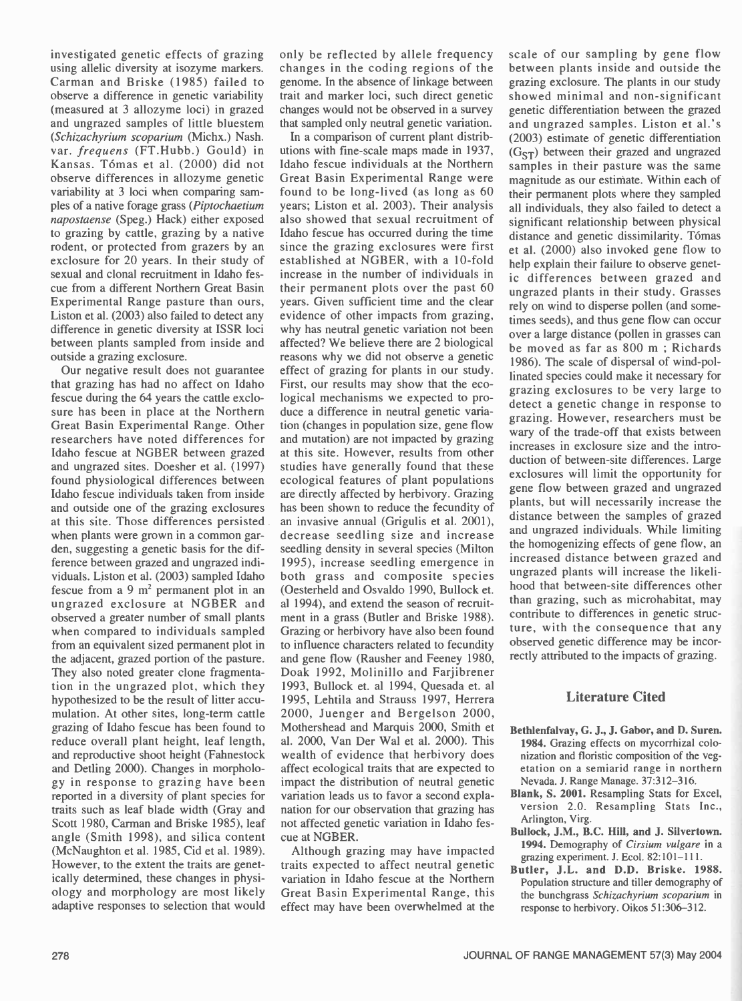investigated genetic effects of grazing using allelic diversity at isozyme markers. Carman and Briske (1985) failed to observe a difference in genetic variability (measured at 3 allozyme loci) in grazed and ungrazed samples of little bluestem (Schizachyrium scoparium (Michx.) Nash. var. frequens (FT.Hubb.) Gould) in Kansas. Tómas et al. (2000) did not observe differences in allozyme genetic variability at 3 loci when comparing samples of a native forage grass (Piptochaetium napostaense (Speg.) Hack) either exposed to grazing by cattle, grazing by a native rodent, or protected from grazers by an exclosure for 20 years. In their study of sexual and clonal recruitment in Idaho fescue from a different Northern Great Basin Experimental Range pasture than ours, Liston et al. (2003) also failed to detect any difference in genetic diversity at ISSR loci between plants sampled from inside and outside a grazing exclosure.

Our negative result does not guarantee that grazing has had no affect on Idaho fescue during the 64 years the cattle exclosure has been in place at the Northern Great Basin Experimental Range. Other researchers have noted differences for Idaho fescue at NGBER between grazed and ungrazed sites. Doesher et al. (1997) found physiological differences between Idaho fescue individuals taken from inside and outside one of the grazing exclosures at this site. Those differences persisted when plants were grown in a common garden, suggesting a genetic basis for the difference between grazed and ungrazed individuals. Liston et al. (2003) sampled Idaho fescue from a 9  $m<sup>2</sup>$  permanent plot in an ungrazed exclosure at NGBER and observed a greater number of small plants when compared to individuals sampled from an equivalent sized permanent plot in the adjacent, grazed portion of the pasture. They also noted greater clone fragmentation in the ungrazed plot, which they hypothesized to be the result of litter accumulation. At other sites, long-term cattle grazing of Idaho fescue has been found to reduce overall plant height, leaf length, and reproductive shoot height (Fahnestock and Detling 2000). Changes in morphology in response to grazing have been reported in a diversity of plant species for traits such as leaf blade width (Gray and Scott 1980, Carman and Briske 1985), leaf angle (Smith 1998), and silica content (McNaughton et al. 1985, Cid et al. 1989). However, to the extent the traits are genetically determined, these changes in physiology and morphology are most likely adaptive responses to selection that would only be reflected by allele frequency changes in the coding regions of the genome. In the absence of linkage between trait and marker loci, such direct genetic changes would not be observed in a survey that sampled only neutral genetic variation.

In a comparison of current plant distributions with fine -scale maps made in 1937, Idaho fescue individuals at the Northern Great Basin Experimental Range were found to be long-lived (as long as 60 years; Liston et al. 2003). Their analysis also showed that sexual recruitment of Idaho fescue has occurred during the time since the grazing exclosures were first established at NGBER, with a 10-fold increase in the number of individuals in their permanent plots over the past 60 years. Given sufficient time and the clear evidence of other impacts from grazing, why has neutral genetic variation not been affected? We believe there are 2 biological reasons why we did not observe a genetic effect of grazing for plants in our study. First, our results may show that the ecological mechanisms we expected to produce a difference in neutral genetic variation (changes in population size, gene flow and mutation) are not impacted by grazing at this site. However, results from other studies have generally found that these ecological features of plant populations are directly affected by herbivory. Grazing has been shown to reduce the fecundity of an invasive annual (Grigulis et al. 2001), decrease seedling size and increase seedling density in several species (Milton 1995), increase seedling emergence in both grass and composite species (Oesterheld and Osvaldo 1990, Bullock et. al 1994), and extend the season of recruitment in a grass (Butler and Briske 1988). Grazing or herbivory have also been found to influence characters related to fecundity and gene flow (Rausher and Feeney 1980, Doak 1992, Molinillo and Farjibrener 1993, Bullock et. al 1994, Quesada et. al 1995, Lehtila and Strauss 1997, Herrera 2000, Juenger and Bergelson 2000, Mothershead and Marquis 2000, Smith et al. 2000, Van Der Wal et al. 2000). This wealth of evidence that herbivory does affect ecological traits that are expected to impact the distribution of neutral genetic variation leads us to favor a second explanation for our observation that grazing has not affected genetic variation in Idaho fescue at NGBER.

Although grazing may have impacted traits expected to affect neutral genetic variation in Idaho fescue at the Northern Great Basin Experimental Range, this effect may have been overwhelmed at the scale of our sampling by gene flow between plants inside and outside the grazing exclosure. The plants in our study showed minimal and non-significant genetic differentiation between the grazed and ungrazed samples. Liston et al.'s (2003) estimate of genetic differentiation  $(G<sub>ST</sub>)$  between their grazed and ungrazed samples in their pasture was the same magnitude as our estimate. Within each of their permanent plots where they sampled all individuals, they also failed to detect a significant relationship between physical distance and genetic dissimilarity. Tómas et al. (2000) also invoked gene flow to help explain their failure to observe genetic differences between grazed and ungrazed plants in their study. Grasses rely on wind to disperse pollen (and sometimes seeds), and thus gene flow can occur over a large distance (pollen in grasses can be moved as far as 800 m ; Richards 1986). The scale of dispersal of wind-pollinated species could make it necessary for grazing exclosures to be very large to detect a genetic change in response to grazing. However, researchers must be wary of the trade -off that exists between increases in exclosure size and the introduction of between -site differences. Large exclosures will limit the opportunity for gene flow between grazed and ungrazed plants, but will necessarily increase the distance between the samples of grazed and ungrazed individuals. While limiting the homogenizing effects of gene flow, an increased distance between grazed and ungrazed plants will increase the likelihood that between -site differences other than grazing, such as microhabitat, may contribute to differences in genetic structure, with the consequence that any observed genetic difference may be incorrectly attributed to the impacts of grazing.

## Literature Cited

- Bethlenfalvay, G. J., J. Gabor, and D. Suren. 1984. Grazing effects on mycorrhizal colonization and floristic composition of the vegetation on a semiarid range in northern Nevada. J. Range Manage. 37:312-316.
- Blank, S. 2001. Resampling Stats for Excel, version 2.0. Resampling Stats Inc., Arlington, Virg.
- Bullock, J.M., B.C. Hill, and J. Silvertown. 1994. Demography of Cirsium vulgare in a grazing experiment. J. Ecol.  $82:101-111$ .
- Butler, J.L. and D.D. Briske. 1988. Population structure and tiller demography of the bunchgrass Schizachyrium scoparium in response to herbivory. Oikos 51:306-312.